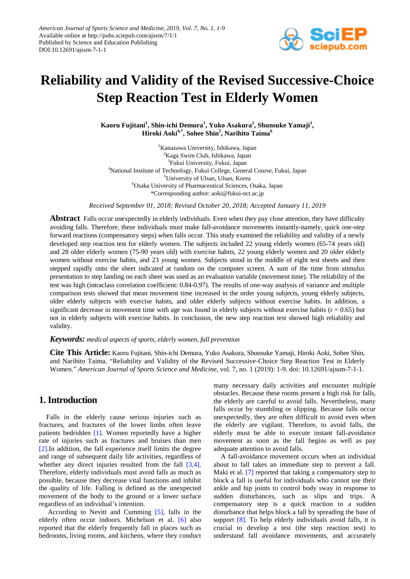

# **Reliability and Validity of the Revised Successive-Choice Step Reaction Test in Elderly Women**

**Kaoru Fujitani1 , Shin-ichi Demura<sup>1</sup> , Yuko Asakura<sup>2</sup> , Shunsuke Yamaji<sup>3</sup> , Hiroki Aoki4,\* , Sohee Shin5 , Narihito Taima<sup>6</sup>**

 Kanazawa University, Ishikawa, Japan Kaga Swim Club, Ishikawa, Japan Fukui University, Fukui, Japan National Institute of Technology, Fukui College, General Course, Fukui, Japan University of Ulsan, Ulsan, Korea Osaka University of Pharmaceutical Sciences, Osaka, Japan \*Corresponding author: aoki@fukui-nct.ac.jp

*Received September 01, 2018; Revised October 20, 2018; Accepted January 11, 2019*

**Abstract** Falls occur unexpectedly in elderly individuals. Even when they pay close attention, they have difficulty avoiding falls. Therefore, these individuals must make fall-avoidance movements instantly-namely, quick one-step forward reactions (compensatory steps) when falls occur. This study examined the reliability and validity of a newly developed step reaction test for elderly women. The subjects included 22 young elderly women (65-74 years old) and 28 older elderly women (75-90 years old) with exercise habits, 22 young elderly women and 20 older elderly women without exercise habits, and 23 young women. Subjects stood in the middle of eight test sheets and then stepped rapidly onto the sheet indicated at random on the computer screen. A sum of the time from stimulus presentation to step landing on each sheet was used as an evaluation variable (movement time). The reliability of the test was high (intraclass correlation coefficient: 0.84-0.97). The results of one-way analysis of variance and multiple comparison tests showed that mean movement time increased in the order young subjects, young elderly subjects, older elderly subjects with exercise habits, and older elderly subjects without exercise habits. In addition, a significant decrease in movement time with age was found in elderly subjects without exercise habits ( $r = 0.65$ ) but not in elderly subjects with exercise habits. In conclusion, the new step reaction test showed high reliability and validity.

#### *Keywords: medical aspects of sports, elderly women, fall prevention*

**Cite This Article:** Kaoru Fujitani, Shin-ichi Demura, Yuko Asakura, Shunsuke Yamaji, Hiroki Aoki, Sohee Shin, and Narihito Taima, "Reliability and Validity of the Revised Successive-Choice Step Reaction Test in Elderly Women." *American Journal of Sports Science and Medicine*, vol. 7, no. 1 (2019): 1-9. doi: 10.12691/ajssm-7-1-1.

## **1. Introduction**

Falls in the elderly cause serious injuries such as fractures, and fractures of the lower limbs often leave patients bedridden [\[1\].](#page-4-0) Women reportedly have a higher rate of injuries such as fractures and bruises than men [\[2\].I](#page-4-1)n addition, the fall experience itself limits the degree and range of subsequent daily life activities, regardless of whether any direct injuries resulted from the fall [\[3,4\].](#page-5-0) Therefore, elderly individuals must avoid falls as much as possible, because they decrease vital functions and inhibit the quality of life. Falling is defined as the unexpected movement of the body to the ground or a lower surface regardless of an individual's intention.

According to Nevitt and Cumming [\[5\],](#page-5-1) falls in the elderly often occur indoors. Michelson et al. [\[6\]](#page-5-2) also reported that the elderly frequently fall in places such as bedrooms, living rooms, and kitchens, where they conduct many necessary daily activities and encounter multiple obstacles. Because these rooms present a high risk for falls, the elderly are careful to avoid falls. Nevertheless, many falls occur by stumbling or slipping. Because falls occur unexpectedly, they are often difficult to avoid even when the elderly are vigilant. Therefore, to avoid falls, the elderly must be able to execute instant fall-avoidance movement as soon as the fall begins as well as pay adequate attention to avoid falls.

A fall-avoidance movement occurs when an individual about to fall takes an immediate step to prevent a fall. Maki et al. [\[7\]](#page-5-3) reported that taking a compensatory step to block a fall is useful for individuals who cannot use their ankle and hip joints to control body sway in response to sudden disturbances, such as slips and trips. A compensatory step is a quick reaction to a sudden disturbance that helps block a fall by spreading the base of support [\[8\].](#page-5-4) To help elderly individuals avoid falls, it is crucial to develop a test (the step reaction test) to understand fall avoidance movements, and accurately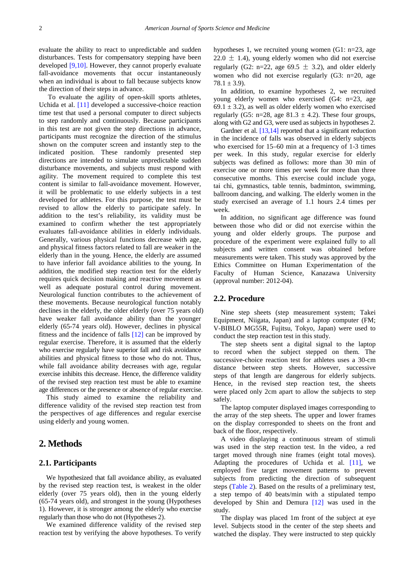evaluate the ability to react to unpredictable and sudden disturbances. Tests for compensatory stepping have been developed [\[9,10\].](#page-5-5) However, they cannot properly evaluate fall-avoidance movements that occur instantaneously when an individual is about to fall because subjects know the direction of their steps in advance.

To evaluate the agility of open-skill sports athletes, Uchida et al. [\[11\]](#page-5-6) developed a successive-choice reaction time test that used a personal computer to direct subjects to step randomly and continuously. Because participants in this test are not given the step directions in advance, participants must recognize the direction of the stimulus shown on the computer screen and instantly step to the indicated position. These randomly presented step directions are intended to simulate unpredictable sudden disturbance movements, and subjects must respond with agility. The movement required to complete this test content is similar to fall-avoidance movement. However, it will be problematic to use elderly subjects in a test developed for athletes. For this purpose, the test must be revised to allow the elderly to participate safely. In addition to the test's reliability, its validity must be examined to confirm whether the test appropriately evaluates fall-avoidance abilities in elderly individuals. Generally, various physical functions decrease with age, and physical fitness factors related to fall are weaker in the elderly than in the young. Hence, the elderly are assumed to have inferior fall avoidance abilities to the young. In addition, the modified step reaction test for the elderly requires quick decision making and reactive movement as well as adequate postural control during movement. Neurological function contributes to the achievement of these movements. Because neurological function notably declines in the elderly, the older elderly (over 75 years old) have weaker fall avoidance ability than the younger elderly (65-74 years old). However, declines in physical fitness and the incidence of falls [\[12\]](#page-5-7) can be improved by regular exercise. Therefore, it is assumed that the elderly who exercise regularly have superior fall and risk avoidance abilities and physical fitness to those who do not. Thus, while fall avoidance ability decreases with age, regular exercise inhibits this decrease. Hence, the difference validity of the revised step reaction test must be able to examine age differences or the presence or absence of regular exercise.

This study aimed to examine the reliability and difference validity of the revised step reaction test from the perspectives of age differences and regular exercise using elderly and young women.

## **2. Methods**

### **2.1. Participants**

We hypothesized that fall avoidance ability, as evaluated by the revised step reaction test, is weakest in the older elderly (over 75 years old), then in the young elderly (65-74 years old), and strongest in the young (Hypotheses 1). However, it is stronger among the elderly who exercise regularly than those who do not (Hypotheses 2).

We examined difference validity of the revised step reaction test by verifying the above hypotheses. To verify hypotheses 1, we recruited young women (G1: n=23, age  $22.0 \pm 1.4$ ), young elderly women who did not exercise regularly (G2: n=22, age 69.5  $\pm$  3.2), and older elderly women who did not exercise regularly (G3: n=20, age  $78.1 \pm 3.9$ .

In addition, to examine hypotheses 2, we recruited young elderly women who exercised (G4: n=23, age 69.1  $\pm$  3.2), as well as older elderly women who exercised regularly (G5: n=28, age  $81.3 \pm 4.2$ ). These four groups, along with G2 and G3, were used as subjects in hypotheses 2.

Gardner et al. [\[13,14\]](#page-5-8) reported that a significant reduction in the incidence of falls was observed in elderly subjects who exercised for 15–60 min at a frequency of 1-3 times per week. In this study, regular exercise for elderly subjects was defined as follows: more than 30 min of exercise one or more times per week for more than three consecutive months. This exercise could include yoga, tai chi, gymnastics, table tennis, badminton, swimming, ballroom dancing, and walking. The elderly women in the study exercised an average of 1.1 hours 2.4 times per week.

In addition, no significant age difference was found between those who did or did not exercise within the young and older elderly groups. The purpose and procedure of the experiment were explained fully to all subjects and written consent was obtained before measurements were taken. This study was approved by the Ethics Committee on Human Experimentation of the Faculty of Human Science, Kanazawa University (approval number: 2012-04).

#### **2.2. Procedure**

Nine step sheets (step measurement system; Takei Equipment, Niigata, Japan) and a laptop computer (FM; V-BIBLO MG55R, Fujitsu, Tokyo, Japan) were used to conduct the step reaction test in this study.

The step sheets sent a digital signal to the laptop to record when the subject stepped on them. The successive-choice reaction test for athletes uses a 30-cm distance between step sheets. However, successive steps of that length are dangerous for elderly subjects. Hence, in the revised step reaction test, the sheets were placed only 2cm apart to allow the subjects to step safely.

The laptop computer displayed images corresponding to the array of the step sheets. The upper and lower frames on the display corresponded to sheets on the front and back of the floor, respectively.

A video displaying a continuous stream of stimuli was used in the step reaction test. In the video, a red target moved through nine frames (eight total moves). Adapting the procedures of Uchida et al. [\[11\],](#page-5-6) we employed five target movement patterns to prevent subjects from predicting the direction of subsequent steps [\(Table 2\)](#page-2-0). Based on the results of a preliminary test, a step tempo of 40 beats/min with a stipulated tempo developed by Shin and Demura [\[12\]](#page-5-7) was used in the study.

The display was placed 1m front of the subject at eye level. Subjects stood in the center of the step sheets and watched the display. They were instructed to step quickly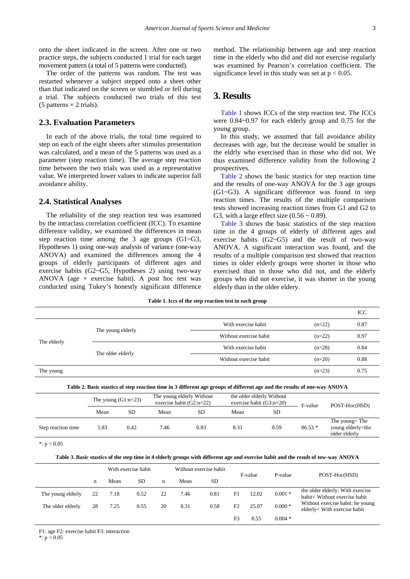onto the sheet indicated in the screen. After one or two practice steps, the subjects conducted 1 trial for each target movement pattern (a total of 5 patterns were conducted).

The order of the patterns was random. The test was restarted whenever a subject stepped onto a sheet other than that indicated on the screen or stumbled or fell during a trial. The subjects conducted two trials of this test (5 patterns  $\times$  2 trials).

#### **2.3. Evaluation Parameters**

In each of the above trials, the total time required to step on each of the eight sheets after stimulus presentation was calculated, and a mean of the 5 patterns was used as a parameter (step reaction time). The average step reaction time between the two trials was used as a representative value. We interpreted lower values to indicate superior fall avoidance ability.

#### **2.4. Statistical Analyses**

The reliability of the step reaction test was examined by the intraclass correlation coefficient (ICC). To examine difference validity, we examined the differences in mean step reaction time among the 3 age groups (G1~G3, Hypotheses 1) using one-way analysis of variance (one-way ANOVA) and examined the differences among the 4 groups of elderly participants of different ages and exercise habits (G2~G5, Hypotheses 2) using two-way ANOVA (age  $\times$  exercise habit). A post hoc test was conducted using Tukey's honestly significant difference method. The relationship between age and step reaction time in the elderly who did and did not exercise regularly was examined by Pearson's correlation coefficient. The significance level in this study was set at  $p < 0.05$ .

## **3. Results**

[Table 1](#page-2-1) shows ICCs of the step reaction test. The ICCs were 0.84~0.97 for each elderly group and 0.75 for the young group.

In this study, we assumed that fall avoidance ability decreases with age, but the decrease would be smaller in the eldrly who exercised than in those who did not. We thus examined difference validity from the following 2 prospectives.

[Table 2](#page-2-0) shows the basic stastics for step reaction time and the results of one-way ANOVA for the 3 age groups (G1~G3). A significant difference was found in step reaction times. The results of the multiple comparison tests showed increasing reaction times from G1 and G2 to G3, with a large effect size  $(0.56 \sim 0.89)$ .

[Table 3](#page-2-2) shows the basic statistics of the step reaction time in the 4 groups of elderly of different ages and exercise habits  $(G2 \sim G5)$  and the result of two-way ANOVA. A significant interaction was found, and the results of a multiple comparison test showed that reaction times in older elderly groups were shorter in those who exercised than in those who did not, and the elderly groups who did not exercise, it was shorter in the young elderly than in the older eldery.

| Table 1. Iccs of the step reaction test in each group |  |  |  |  |  |  |  |  |  |  |  |
|-------------------------------------------------------|--|--|--|--|--|--|--|--|--|--|--|
|-------------------------------------------------------|--|--|--|--|--|--|--|--|--|--|--|

<span id="page-2-1"></span>

|             |                   |                        |          | ICC  |
|-------------|-------------------|------------------------|----------|------|
|             |                   | With exercise habit    | $(n=22)$ | 0.87 |
| The elderly | The young elderly | Without exercise habit | $(n=22)$ | 0.97 |
|             | The older elderly | With exercise habit    | $(n=28)$ | 0.84 |
|             |                   | Without exercise habit | $(n=20)$ | 0.88 |
| The young   |                   |                        | $(n=23)$ | 0.75 |

|  | Table 2. Basic stastics of step reaction time in 3 different age groups of different age and the results of one-way ANOVA |
|--|---------------------------------------------------------------------------------------------------------------------------|
|  |                                                                                                                           |

<span id="page-2-0"></span>

|                    | The young $(G1:n=23)$ |      | The young elderly Without<br>exercise habit $(G2:n=22)$ |      |      | the older elderly Without<br>exercise habit $(G3:n=20)$ | F-value  | POST-Hoc(HSD)                                                  |
|--------------------|-----------------------|------|---------------------------------------------------------|------|------|---------------------------------------------------------|----------|----------------------------------------------------------------|
|                    | Mean                  | SD   | Mean                                                    | SD   | Mean | SD                                                      |          |                                                                |
| Step reaction time | 5.83                  | 0.42 | 7.46                                                    | 0.83 | 8.31 | 0.59                                                    | $86.53*$ | The young< The<br>young elderly <the<br>older elderly</the<br> |

 $*$ :  $p < 0.05$ 

|  | Table 3. Basic stastics of the step time in 4 elderly groups with different age and exercise habit and the result of tow-way ANOVA |
|--|------------------------------------------------------------------------------------------------------------------------------------|
|  |                                                                                                                                    |

<span id="page-2-2"></span>

|                   |    | With exercise habit |      | Without exercise habit |      |      |    |                    |          | POST-Hoc(HSD)                                                     |  |
|-------------------|----|---------------------|------|------------------------|------|------|----|--------------------|----------|-------------------------------------------------------------------|--|
|                   | n  | Mean                | SD   | n                      | Mean | SD   |    | P-value<br>F-value |          |                                                                   |  |
| The young elderly | 22 | 7.18                | 0.52 | 22                     | 7.46 | 0.81 | F1 | 12.02              | $0.001*$ | the older elderly: With exercise<br>habit< Without exercise habit |  |
| The older elderly | 28 | 7.25                | 0.55 | 20                     | 8.31 | 0.58 | F2 | 25.07              | $0.000*$ | Without exercise habit: he young<br>elderly< With exercise habit  |  |
|                   |    |                     |      |                        |      |      | F3 | 8.55               | $0.004*$ |                                                                   |  |

F1: age F2: exercise habit F3: interaction

 $*: p < 0.05$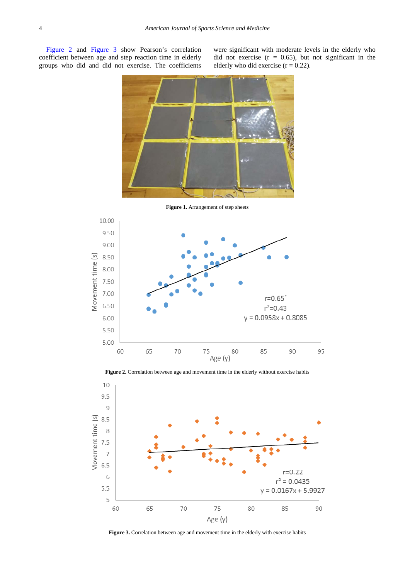[Figure 2](#page-3-0) and [Figure 3](#page-3-1) show Pearson's correlation coefficient between age and step reaction time in elderly groups who did and did not exercise. The coefficients

were significant with moderate levels in the elderly who did not exercise  $(r = 0.65)$ , but not significant in the elderly who did exercise  $(r = 0.22)$ .



**Figure 1.** Arrangement of step sheets

<span id="page-3-0"></span>



<span id="page-3-1"></span>

**Figure 3.** Correlation between age and movement time in the elderly with exercise habits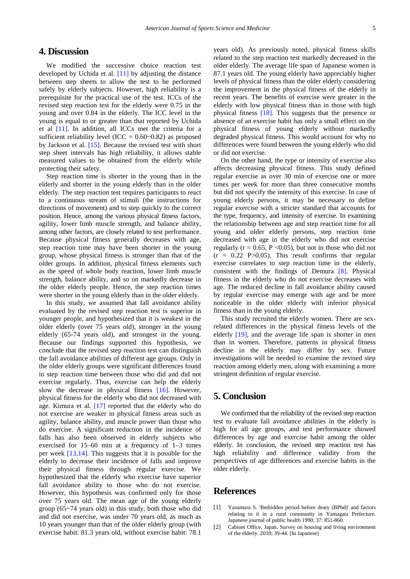## **4. Discussion**

We modified the successive choice reaction test developed by Uchida et al. [\[11\]](#page-5-6) by adjusting the distance between step sheets to allow the test to be performed safely by elderly subjects. However, high reliability is a prerequisite for the practical use of the test. ICCs of the revised step reaction test for the elderly were 0.75 in the young and over 0.84 in the elderly. The ICC level in the young is equal to or greater than that reported by Uchida et al [\[11\].](#page-5-6) In addition, all ICCs met the criteria for a sufficient reliability level (ICC =  $0.60$  ~ $0.82$ ) as proposed by Jackson et al. [\[15\].](#page-5-9) Because the revised test with short step sheet intervals has high reliability, it allows stable measured values to be obtained from the elderly while protecting their safety.

Step reaction time is shorter in the young than in the elderly and shorter in the young elderly than in the older elderly. The step reaction test requires participants to react to a continuous stream of stimuli (the instructions for directions of movement) and to step quickly to the correct position. Hence, among the various physical fitness factors, agility, lower limb muscle strength, and balance ability, among other factors, are closely related to test performance. Because physical fitness generally decreases with age, step reaction time may have been shorter in the young group, whose physical fitness is stronger than that of the older groups. In addition, physical fitness elements such as the speed of whole body reaction, lower limb muscle strength, balance ability, and so on markedly decrease in the older elderly people. Hence, the step reaction times were shorter in the young elderly than in the older elderly.

In this study, we assumed that fall avoidance ability evaluated by the revised step reaction test is superior in younger people, and hypothesized that it is weakest in the older elderly (over 75 years old), stronger in the young elderly (65-74 years old), and strongest in the young. Because our findings supported this hypothesis, we conclude that the revised step reaction test can distinguish the fall avoidance abilities of different age groups. Only in the older elderly groups were significant differences found in step reaction time between those who did and did not exercise regularly. Thus, exercise can help the elderly slow the decrease in physical fitness [\[16\].](#page-5-10) However, physical fitness for the elderly who did not decreased with age. Kimura et al. [\[17\]](#page-5-11) reported that the elderly who do not exercise are weaker in physical fitness areas such as agility, balance ability, and muscle power than those who do exercise. A significant reduction in the incidence of falls has also been observed in elderly subjects who exercised for 15–60 min at a frequency of 1–3 times per week [\[13,14\].](#page-5-8) This suggests that it is possible for the elderly to decrease their incidence of falls and improve their physical fitness through regular exercise. We hypothesized that the elderly who exercise have superior fall avoidance ability to those who do not exercise. However, this hypothesis was confirmed only for those over 75 years old. The mean age of the young elderly group (65~74 years old) in this study, both those who did and did not exercise, was under 70 years old, as much as 10 years younger than that of the older elderly group (with exercise habit: 81.3 years old, without exercise habit: 78.1

years old). As previously noted, physical fitness skills related to the step reaction test markedly decreased in the older elderly. The average life span of Japanese women is 87.1 years old. The young elderly have appreciably higher levels of physical fitness than the older elderly considering the improvement in the physical fitness of the elderly in recent years. The benefits of exercise were greater in the elderly with low physical fitness than in those with high physical fitness [\[18\].](#page-5-12) This suggests that the presence or absence of an exercise habit has only a small effect on the physical fitness of young elderly without markedly degraded physical fitness. This would account for why no differences were found between the young elderly who did or did not exercise.

On the other hand, the type or intensity of exercise also affects decreasing physical fitness. This study defined regular exercise as over 30 min of exercise one or more times per week for more than three consecutive months but did not specify the intensity of this exercise. In case of young elderly persons, it may be necessary to define regular exercise with a stricter standard that accounts for the type, frequency, and intensity of exercise. In examining the relationship between age and step reaction time for all young and older elderly persons, step reaction time decreased with age in the elderly who did not exercise regularly ( $r = 0.65$ ,  $P \le 0.05$ ), but not in those who did not  $(r = 0.22 \text{ P} > 0.05)$ . This result confirms that regular exercise correlates to step reaction time in the elderly, consistent with the findings of Demura [\[8\].](#page-5-4) Physical fitness in the elderly who do not exercise decreases with age. The reduced decline in fall avoidance ability caused by regular exercise may emerge with age and be more noticeable in the older elderly with inferior physical fitness than in the young elderly.

This study recruited the elderly women. There are sexrelated differences in the physical fitness levels of the elderly [\[19\],](#page-5-13) and the average life span is shorter in men than in women. Therefore, patterns in physical fitness decline in the elderly may differ by sex. Future investigations will be needed to examine the revised step reaction among elderly men, along with examining a more stringent definition of regular exercise.

## **5. Conclusion**

We confirmed that the reliability of the revised step reaction test to evaluate fall avoidance abilities in the elderly is high for all age groups, and test performance showed differences by age and exercise habit among the older elderly. In conclusion, the revised step reaction test has high reliability and difference validity from the perspectives of age differences and exercise habits in the older elderly.

## **References**

- <span id="page-4-0"></span>[1] Yasumura S. 'Bedridden period before deaty (BPbd)' and factors relating to it in a rural community in Yamagata Prefecture. Japanese journal of public health 1990; 37: 851-860.
- <span id="page-4-1"></span>[2] Cabinet Office, Japan, Survey on housing and living environment of the elderly. 2010; 39-44. [In Japanese]